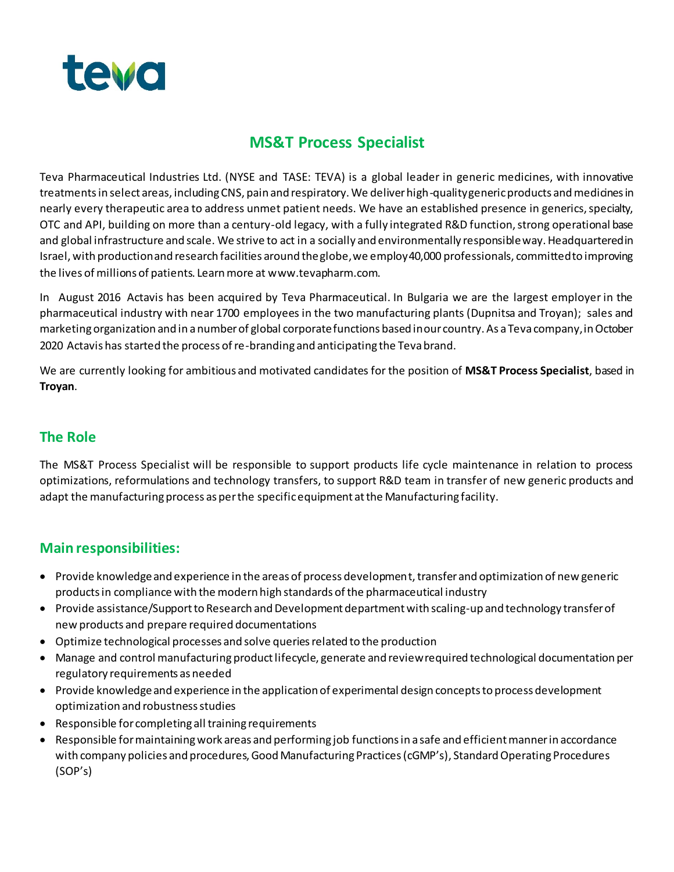

## **MS&T Process Specialist**

Teva Pharmaceutical Industries Ltd. (NYSE and TASE: TEVA) is a global leader in generic medicines, with innovative treatments in select areas, including CNS, pain and respiratory. We deliver high-quality generic products and medicines in nearly every therapeutic area to address unmet patient needs. We have an established presence in generics, specialty, OTC and API, building on more than a century-old legacy, with a fully integrated R&D function, strong operational base and global infrastructure and scale. We strive to act in a socially and environmentally responsible way. Headquartered in Israel, with production and research facilities around the globe, we employ 40,000 professionals, committed to improving the lives of millions of patients. Learn more at www.tevapharm.com.

In August 2016 Actavis has been acquired by Teva Pharmaceutical. In Bulgaria we are the largest employer in the pharmaceutical industry with near 1700 employees in the two manufacturing plants (Dupnitsa and Troyan); sales and marketing organization and in a number of global corporate functions based in our country. As a Teva company, in October 2020 Actavis has started the process of re-branding and anticipating the Teva brand.

We are currently looking for ambitious and motivated candidates for the position of **MS&T Process Specialist**, based in **Troyan**.

### **The Role**

The MS&T Process Specialist will be responsible to support products life cycle maintenance in relation to process optimizations, reformulations and technology transfers, to support R&D team in transfer of new generic products and adapt the manufacturing process as per the specific equipment at the Manufacturing facility.

#### **Main responsibilities:**

- Provide knowledge and experience in the areas of process development, transfer and optimization of new generic products in compliance with the modern high standards of the pharmaceutical industry
- Provide assistance/Support to Research and Development department with scaling-up and technology transfer of new products and prepare required documentations
- Optimize technological processes and solve queries related to the production
- Manage and control manufacturing product lifecycle, generate and review required technological documentation per regulatory requirements as needed
- Provide knowledge and experience in the application of experimental design concepts to process development optimization and robustness studies
- Responsible for completing all training requirements
- Responsible for maintaining work areas and performing job functions in a safe and efficient manner in accordance with company policies and procedures, Good Manufacturing Practices (cGMP's), Standard Operating Procedures (SOP's)